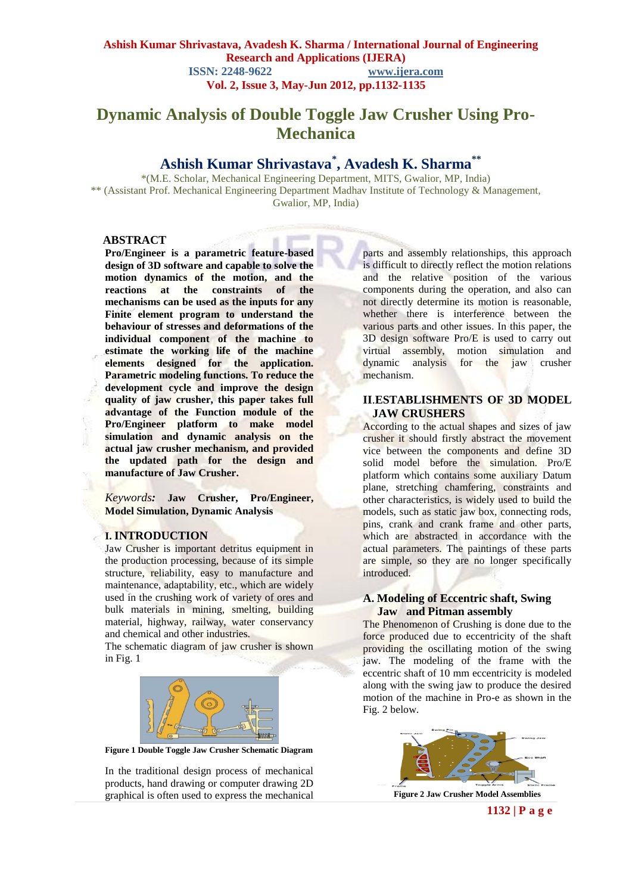# **Dynamic Analysis of Double Toggle Jaw Crusher Using Pro-Mechanica**

# **Ashish Kumar Shrivastava\* , Avadesh K. Sharma\*\***

\*(M.E. Scholar, Mechanical Engineering Department, MITS, Gwalior, MP, India) \*\* (Assistant Prof. Mechanical Engineering Department Madhav Institute of Technology & Management, Gwalior, MP, India)

#### **ABSTRACT**

**Pro/Engineer is a parametric feature-based design of 3D software and capable to solve the motion dynamics of the motion, and the reactions at the constraints of the mechanisms can be used as the inputs for any Finite element program to understand the behaviour of stresses and deformations of the individual component of the machine to estimate the working life of the machine elements designed for the application. Parametric modeling functions. To reduce the development cycle and improve the design quality of jaw crusher, this paper takes full advantage of the Function module of the Pro/Engineer platform to make model simulation and dynamic analysis on the actual jaw crusher mechanism, and provided the updated path for the design and manufacture of Jaw Crusher.**

*Keywords:* **Jaw Crusher, Pro/Engineer, Model Simulation, Dynamic Analysis**

#### **I. INTRODUCTION**

Jaw Crusher is important detritus equipment in the production processing, because of its simple structure, reliability, easy to manufacture and maintenance, adaptability, etc., which are widely used in the crushing work of variety of ores and bulk materials in mining, smelting, building material, highway, railway, water conservancy and chemical and other industries.

The schematic diagram of jaw crusher is shown in Fig. 1



**Figure 1 Double Toggle Jaw Crusher Schematic Diagram**

In the traditional design process of mechanical products, hand drawing or computer drawing 2D graphical is often used to express the mechanical

parts and assembly relationships, this approach is difficult to directly reflect the motion relations and the relative position of the various components during the operation, and also can not directly determine its motion is reasonable, whether there is interference between the various parts and other issues. In this paper, the 3D design software Pro/E is used to carry out virtual assembly, motion simulation and dynamic analysis for the jaw crusher mechanism.

## **II**.**ESTABLISHMENTS OF 3D MODEL JAW CRUSHERS**

According to the actual shapes and sizes of jaw crusher it should firstly abstract the movement vice between the components and define 3D solid model before the simulation. Pro/E platform which contains some auxiliary Datum plane, stretching chamfering, constraints and other characteristics, is widely used to build the models, such as static jaw box, connecting rods, pins, crank and crank frame and other parts, which are abstracted in accordance with the actual parameters. The paintings of these parts are simple, so they are no longer specifically introduced.

#### **A. Modeling of Eccentric shaft, Swing Jaw and Pitman assembly**

The Phenomenon of Crushing is done due to the force produced due to eccentricity of the shaft providing the oscillating motion of the swing jaw. The modeling of the frame with the eccentric shaft of 10 mm eccentricity is modeled along with the swing jaw to produce the desired motion of the machine in Pro-e as shown in the Fig. 2 below.



**1132 | P a g e**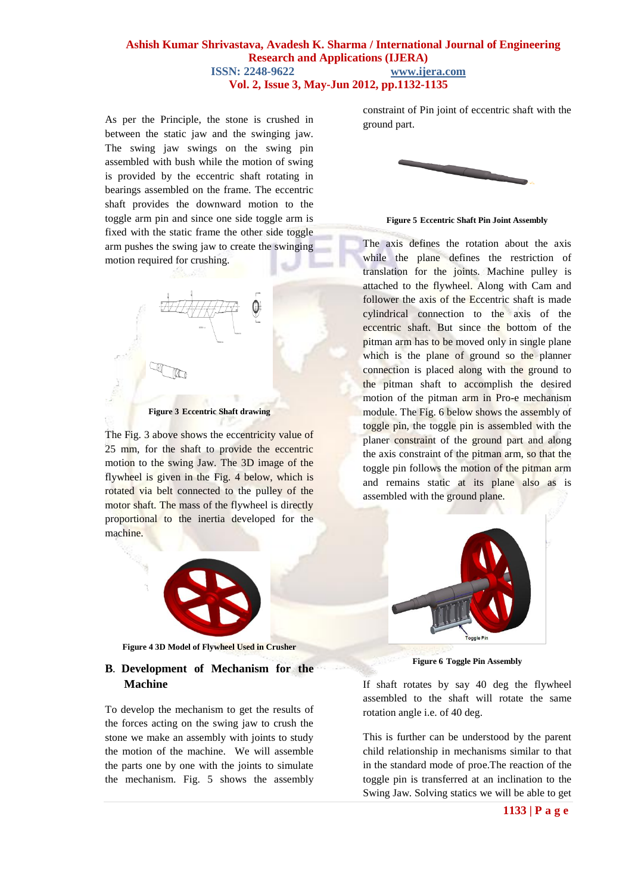As per the Principle, the stone is crushed in between the static jaw and the swinging jaw. The swing jaw swings on the swing pin assembled with bush while the motion of swing is provided by the eccentric shaft rotating in bearings assembled on the frame. The eccentric shaft provides the downward motion to the toggle arm pin and since one side toggle arm is fixed with the static frame the other side toggle arm pushes the swing jaw to create the swinging motion required for crushing.

# 0

**Figure 3 Eccentric Shaft drawing**

The Fig. 3 above shows the eccentricity value of 25 mm, for the shaft to provide the eccentric motion to the swing Jaw. The 3D image of the flywheel is given in the Fig. 4 below, which is rotated via belt connected to the pulley of the motor shaft. The mass of the flywheel is directly proportional to the inertia developed for the machine.



**Figure 4 3D Model of Flywheel Used in Crusher**

# **B. Development of Mechanism for the Machine**

To develop the mechanism to get the results of the forces acting on the swing jaw to crush the stone we make an assembly with joints to study the motion of the machine. We will assemble the parts one by one with the joints to simulate the mechanism. Fig. 5 shows the assembly

constraint of Pin joint of eccentric shaft with the ground part.



**Figure 5 Eccentric Shaft Pin Joint Assembly**

The axis defines the rotation about the axis while the plane defines the restriction of translation for the joints. Machine pulley is attached to the flywheel. Along with Cam and follower the axis of the Eccentric shaft is made cylindrical connection to the axis of the eccentric shaft. But since the bottom of the pitman arm has to be moved only in single plane which is the plane of ground so the planner connection is placed along with the ground to the pitman shaft to accomplish the desired motion of the pitman arm in Pro-e mechanism module. The Fig. 6 below shows the assembly of toggle pin, the toggle pin is assembled with the planer constraint of the ground part and along the axis constraint of the pitman arm, so that the toggle pin follows the motion of the pitman arm and remains static at its plane also as is assembled with the ground plane.



**Figure 6 Toggle Pin Assembly**

If shaft rotates by say 40 deg the flywheel assembled to the shaft will rotate the same rotation angle i.e. of 40 deg.

This is further can be understood by the parent child relationship in mechanisms similar to that in the standard mode of proe.The reaction of the toggle pin is transferred at an inclination to the Swing Jaw. Solving statics we will be able to get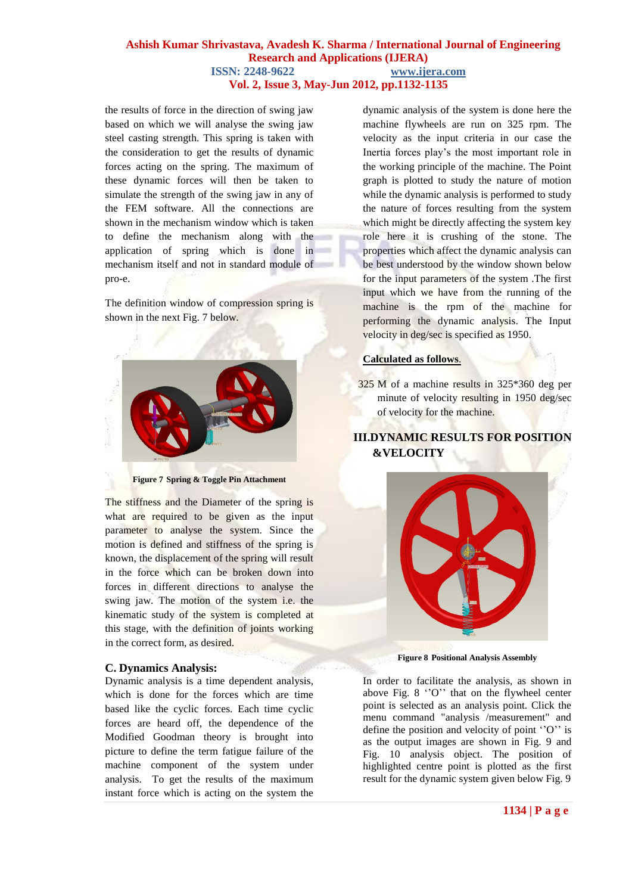the results of force in the direction of swing jaw based on which we will analyse the swing jaw steel casting strength. This spring is taken with the consideration to get the results of dynamic forces acting on the spring. The maximum of these dynamic forces will then be taken to simulate the strength of the swing jaw in any of the FEM software. All the connections are shown in the mechanism window which is taken to define the mechanism along with the application of spring which is done in mechanism itself and not in standard module of pro-e.

The definition window of compression spring is shown in the next Fig. 7 below.



**Figure 7 Spring & Toggle Pin Attachment**

The stiffness and the Diameter of the spring is what are required to be given as the input parameter to analyse the system. Since the motion is defined and stiffness of the spring is known, the displacement of the spring will result in the force which can be broken down into forces in different directions to analyse the swing jaw. The motion of the system i.e. the kinematic study of the system is completed at this stage, with the definition of joints working in the correct form, as desired.

#### **C. Dynamics Analysis:**

Dynamic analysis is a time dependent analysis, which is done for the forces which are time based like the cyclic forces. Each time cyclic forces are heard off, the dependence of the Modified Goodman theory is brought into picture to define the term fatigue failure of the machine component of the system under analysis. To get the results of the maximum instant force which is acting on the system the

dynamic analysis of the system is done here the machine flywheels are run on 325 rpm. The velocity as the input criteria in our case the Inertia forces play"s the most important role in the working principle of the machine. The Point graph is plotted to study the nature of motion while the dynamic analysis is performed to study the nature of forces resulting from the system which might be directly affecting the system key role here it is crushing of the stone. The properties which affect the dynamic analysis can be best understood by the window shown below for the input parameters of the system .The first input which we have from the running of the machine is the rpm of the machine for performing the dynamic analysis. The Input velocity in deg/sec is specified as 1950.

#### **Calculated as follows**.

325 M of a machine results in 325\*360 deg per minute of velocity resulting in 1950 deg/sec of velocity for the machine.

# **III.DYNAMIC RESULTS FOR POSITION &VELOCITY**



**Figure 8 Positional Analysis Assembly**

In order to facilitate the analysis, as shown in above Fig.  $8$  "O" that on the flywheel center point is selected as an analysis point. Click the menu command "analysis /measurement" and define the position and velocity of point " $O$ " is as the output images are shown in Fig. 9 and Fig. 10 analysis object. The position of highlighted centre point is plotted as the first result for the dynamic system given below Fig. 9